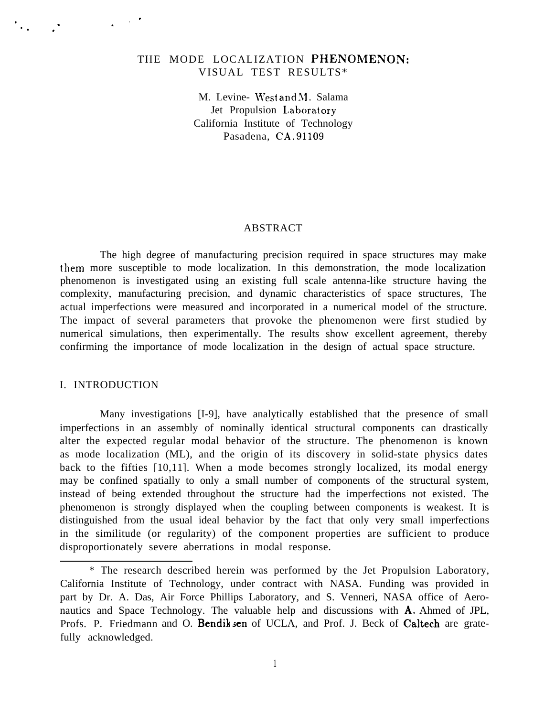# THE MODE LOCALIZATION PHENOMENON: VISUAL TEST RESULTS\*

M. Levine- West and M. Salama Jet Propulsion Laboratory California Institute of Technology Pasadena, CA, 91109

### ABSTRACT

The high degree of manufacturing precision required in space structures may make them more susceptible to mode localization. In this demonstration, the mode localization phenomenon is investigated using an existing full scale antenna-like structure having the complexity, manufacturing precision, and dynamic characteristics of space structures, The actual imperfections were measured and incorporated in a numerical model of the structure. The impact of several parameters that provoke the phenomenon were first studied by numerical simulations, then experimentally. The results show excellent agreement, thereby confirming the importance of mode localization in the design of actual space structure.

#### I. INTRODUCTION

, . ,, . .

. . .

Many investigations [I-9], have analytically established that the presence of small imperfections in an assembly of nominally identical structural components can drastically alter the expected regular modal behavior of the structure. The phenomenon is known as mode localization (ML), and the origin of its discovery in solid-state physics dates back to the fifties [10,11]. When a mode becomes strongly localized, its modal energy may be confined spatially to only a small number of components of the structural system, instead of being extended throughout the structure had the imperfections not existed. The phenomenon is strongly displayed when the coupling between components is weakest. It is distinguished from the usual ideal behavior by the fact that only very small imperfections in the similitude (or regularity) of the component properties are sufficient to produce disproportionately severe aberrations in modal response.

1

<sup>\*</sup> The research described herein was performed by the Jet Propulsion Laboratory, California Institute of Technology, under contract with NASA. Funding was provided in part by Dr. A. Das, Air Force Phillips Laboratory, and S. Venneri, NASA office of Aeronautics and Space Technology. The valuable help and discussions with A. Ahmed of JPL, Profs. P. Friedmann and O. Bendik sen of UCLA, and Prof. J. Beck of Caltech are gratefully acknowledged.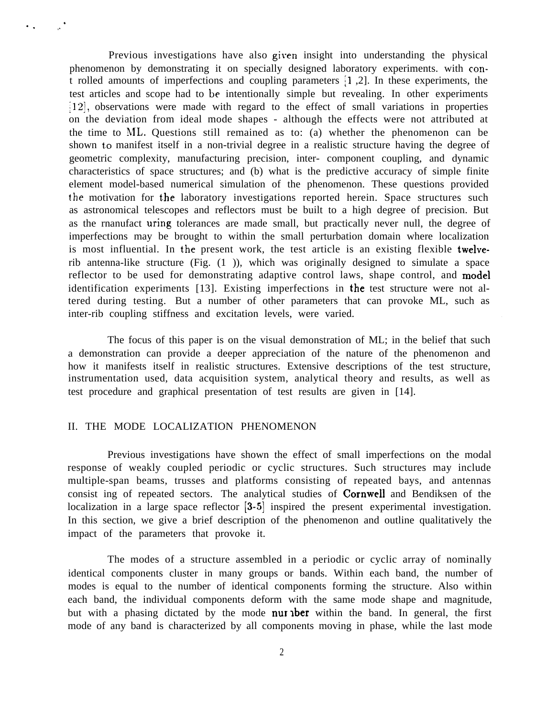Previous investigations have also given insight into understanding the physical phenomenon by demonstrating it on specially designed laboratory experiments. with cont rolled amounts of imperfections and coupling parameters jl ,2]. In these experiments, the test articles and scope had to be intentionally simple but revealing. In other experiments  $[12]$ , observations were made with regard to the effect of small variations in properties on the deviation from ideal mode shapes - although the effects were not attributed at the time to NIL. Questions still remained as to: (a) whether the phenomenon can be shown to manifest itself in a non-trivial degree in a realistic structure having the degree of geometric complexity, manufacturing precision, inter- component coupling, and dynamic characteristics of space structures; and (b) what is the predictive accuracy of simple finite element model-based numerical simulation of the phenomenon. These questions provided the motivation for the laboratory investigations reported herein. Space structures such as astronomical telescopes and reflectors must be built to a high degree of precision. But as the rnanufact uring tolerances are made small, but practically never null, the degree of imperfections may be brought to within the small perturbation domain where localization is most influential. In the present work, the test article is an existing flexible twelverib antenna-like structure (Fig. (1 )), which was originally designed to simulate a space reflector to be used for demonstrating adaptive control laws, shape control, and model identification experiments [13]. Existing imperfections in the test structure were not altered during testing. But a number of other parameters that can provoke ML, such as inter-rib coupling stiffness and excitation levels, were varied.

The focus of this paper is on the visual demonstration of ML; in the belief that such a demonstration can provide a deeper appreciation of the nature of the phenomenon and how it manifests itself in realistic structures. Extensive descriptions of the test structure, instrumentation used, data acquisition system, analytical theory and results, as well as test procedure and graphical presentation of test results are given in [14].

#### II. THE MODE LOCALIZATION PHENOMENON

.

 $\cdot$  .

Previous investigations have shown the effect of small imperfections on the modal response of weakly coupled periodic or cyclic structures. Such structures may include multiple-span beams, trusses and platforms consisting of repeated bays, and antennas consist ing of repeated sectors. The analytical studies of Cornwell and Bendiksen of the localization in a large space reflector [3-5] inspired the present experimental investigation. In this section, we give a brief description of the phenomenon and outline qualitatively the impact of the parameters that provoke it.

The modes of a structure assembled in a periodic or cyclic array of nominally identical components cluster in many groups or bands. Within each band, the number of modes is equal to the number of identical components forming the structure. Also within each band, the individual components deform with the same mode shape and magnitude, but with a phasing dictated by the mode **nur aber** within the band. In general, the first mode of any band is characterized by all components moving in phase, while the last mode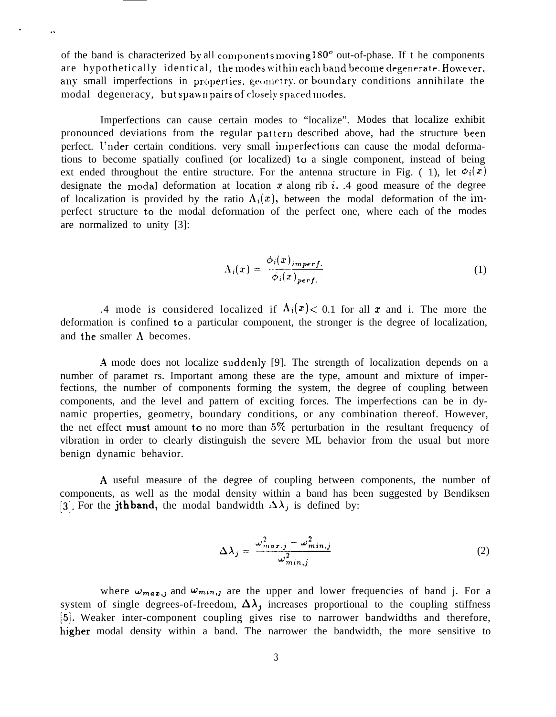of the band is characterized by all components moving  $180^\circ$  out-of-phase. If the components are hypothetically identical, the modes within each band become degenerate. However, any small imperfections in properties, geometry or boundary conditions annihilate the modal degeneracy, but spawn pairs of closely spaced modes.

., . .

Imperfections can cause certain modes to "localize". Modes that localize exhibit pronounced deviations from the regular pattern described above, had the structure been perfect. Under certain conditions. very small imperfections can cause the modal deformations to become spatially confined (or localized) to a single component, instead of being ext ended throughout the entire structure. For the antenna structure in Fig. (1), let  $\phi_i(x)$ designate the modal deformation at location  $x$  along rib i. .4 good measure of the degree of localization is provided by the ratio  $\Lambda_i(x)$ , between the modal deformation of the imperfect structure to the modal deformation of the perfect one, where each of the modes are normalized to unity [3]:

$$
\Lambda_i(x) = \frac{\phi_i(x)_{\text{imperf.}}}{\phi_i(x)_{\text{perf.}}}
$$
\n(1)

.4 mode is considered localized if  $\Lambda_i(x) < 0.1$  for all x and i. The more the deformation is confined to a particular component, the stronger is the degree of localization, and the smaller  $\Lambda$  becomes.

.4 mode does not localize suddenly [9]. The strength of localization depends on a number of paramet rs. Important among these are the type, amount and mixture of imperfections, the number of components forming the system, the degree of coupling between components, and the level and pattern of exciting forces. The imperfections can be in dynamic properties, geometry, boundary conditions, or any combination thereof. However, the net effect must amount to no more than  $5\%$  perturbation in the resultant frequency of vibration in order to clearly distinguish the severe ML behavior from the usual but more benign dynamic behavior.

.4 useful measure of the degree of coupling between components, the number of components, as well as the modal density within a band has been suggested by Bendiksen [3]. For the **jth** band, the modal bandwidth  $\Delta \lambda_j$  is defined by:

$$
\Delta \lambda_j = \frac{\omega_{max,j}^2 - \omega_{min,j}^2}{\omega_{min,j}^2}
$$
 (2)

where  $\omega_{max,j}$  and  $\omega_{min,j}$  are the upper and lower frequencies of band j. For a system of single degrees-of-freedom,  $\Delta \lambda_j$  increases proportional to the coupling stiffness [5]. Weaker inter-component coupling gives rise to narrower bandwidths and therefore, higher modal density within a band. The narrower the bandwidth, the more sensitive to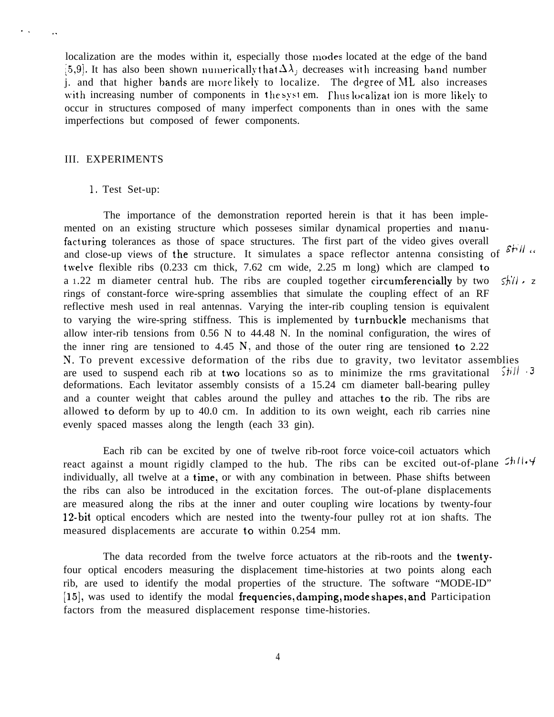localization are the modes within it, especially those modes located at the edge of the band [5,9]. It has also been shown numerically that  $\Delta\lambda_j$  decreases with increasing band number j. and that higher bands are more likely to localize. The degree of ML also increases with increasing number of components in the system. Thus localizat ion is more likely to occur in structures composed of many imperfect components than in ones with the same imperfections but composed of fewer components.

#### III. EXPERIMENTS

. . . .

#### 1. Test Set-up:

The importance of the demonstration reported herein is that it has been implemented on an existing structure which posseses similar dynamical properties and manufacturing tolerances as those of space structures. The first part of the video gives overall and close-up views of the structure. It simulates a space reflector antenna consisting of  $s\nvdash ll$  " twelve flexible ribs  $(0.233 \text{ cm thick}, 7.62 \text{ cm wide}, 2.25 \text{ m long})$  which are clamped to a 1.22 m diameter central hub. The ribs are coupled together circumferencially by two  $\frac{1}{2}$ rings of constant-force wire-spring assemblies that simulate the coupling effect of an RF reflective mesh used in real antennas. Varying the inter-rib coupling tension is equivalent to varying the wire-spring stiffness. This is implemented by turnbuckle mechanisms that allow inter-rib tensions from 0.56 N to 44.48 N. In the nominal configuration, the wires of the inner ring are tensioned to  $4.45 \text{ N}$ , and those of the outer ring are tensioned to  $2.22$ N, To prevent excessive deformation of the ribs due to gravity, two levitator assemblies are used to suspend each rib at two locations so as to minimize the rms gravitational  $\frac{2\pi i}{l}$ . 3 deformations. Each levitator assembly consists of a 15.24 cm diameter ball-bearing pulley and a counter weight that cables around the pulley and attaches to the rib. The ribs are allowed to deform by up to 40.0 cm. In addition to its own weight, each rib carries nine evenly spaced masses along the length (each 33 gin).

Each rib can be excited by one of twelve rib-root force voice-coil actuators which react against a mount rigidly clamped to the hub. The ribs can be excited out-of-plane  $5h/1.4$ individually, all twelve at a time, or with any combination in between. Phase shifts between the ribs can also be introduced in the excitation forces. The out-of-plane displacements are measured along the ribs at the inner and outer coupling wire locations by twenty-four 12-bit optical encoders which are nested into the twenty-four pulley rot at ion shafts. The measured displacements are accurate to within 0.254 mm.

The data recorded from the twelve force actuators at the rib-roots and the twentyfour optical encoders measuring the displacement time-histories at two points along each rib, are used to identify the modal properties of the structure. The software "MODE-ID"  $[15]$ , was used to identify the modal frequencies, damping, mode shapes, and Participation factors from the measured displacement response time-histories.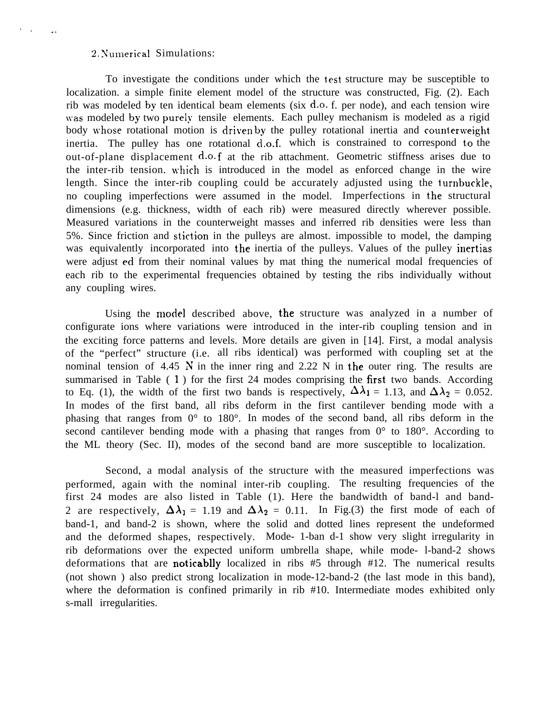#### 2. Numerical Simulations:

. .

To investigate the conditions under which the test structure may be susceptible to localization. a simple finite element model of the structure was constructed, Fig. (2). Each rib was modeled by ten identical beam elements (six d.o. f. per node), and each tension wire was modeled by two purely tensile elements. Each pulley mechanism is modeled as a rigid body whose rotational motion is driven by the pulley rotational inertia and counterweight inertia. The pulley has one rotational d.o.f. which is constrained to correspond to the out-of-plane displacement d.o. f at the rib attachment. Geometric stiffness arises due to the inter-rib tension, which is introduced in the model as enforced change in the wire length. Since the inter-rib coupling could be accurately adjusted using the turnbuckle, no coupling imperfections were assumed in the model. Imperfections in the structural dimensions (e.g. thickness, width of each rib) were measured directly wherever possible. Measured variations in the counterweight masses and inferred rib densities were less than 5%. Since friction and stiction in the pulleys are almost. impossible to model, the damping was equivalently incorporated into the inertia of the pulleys. Values of the pulley inertias were adjust ed from their nominal values by mat thing the numerical modal frequencies of each rib to the experimental frequencies obtained by testing the ribs individually without any coupling wires.

Using the model described above, the structure was analyzed in a number of configurate ions where variations were introduced in the inter-rib coupling tension and in the exciting force patterns and levels. More details are given in [14]. First, a modal analysis of the "perfect" structure (i.e. all ribs identical) was performed with coupling set at the nominal tension of 4.45 N in the inner ring and 2.22 N in the outer ring. The results are summarised in Table (1) for the first 24 modes comprising the first two bands. According to Eq. (1), the width of the first two bands is respectively,  $\Delta \lambda_1 = 1.13$ , and  $\Delta \lambda_2 = 0.052$ . In modes of the first band, all ribs deform in the first cantilever bending mode with a phasing that ranges from 0° to 180°. In modes of the second band, all ribs deform in the second cantilever bending mode with a phasing that ranges from  $0^{\circ}$  to 180 $^{\circ}$ . According to the ML theory (Sec. II), modes of the second band are more susceptible to localization.

Second, a modal analysis of the structure with the measured imperfections was performed, again with the nominal inter-rib coupling. The resulting frequencies of the first 24 modes are also listed in Table (1). Here the bandwidth of band-l and band-2 are respectively,  $\Delta \lambda_1 = 1.19$  and  $\Delta \lambda_2 = 0.11$ . In Fig.(3) the first mode of each of band-1, and band-2 is shown, where the solid and dotted lines represent the undeformed and the deformed shapes, respectively. Mode- 1-ban d-1 show very slight irregularity in rib deformations over the expected uniform umbrella shape, while mode- l-band-2 shows deformations that are noticablly localized in ribs #5 through #12. The numerical results (not shown ) also predict strong localization in mode-12-band-2 (the last mode in this band), where the deformation is confined primarily in rib #10. Intermediate modes exhibited only s-mall irregularities.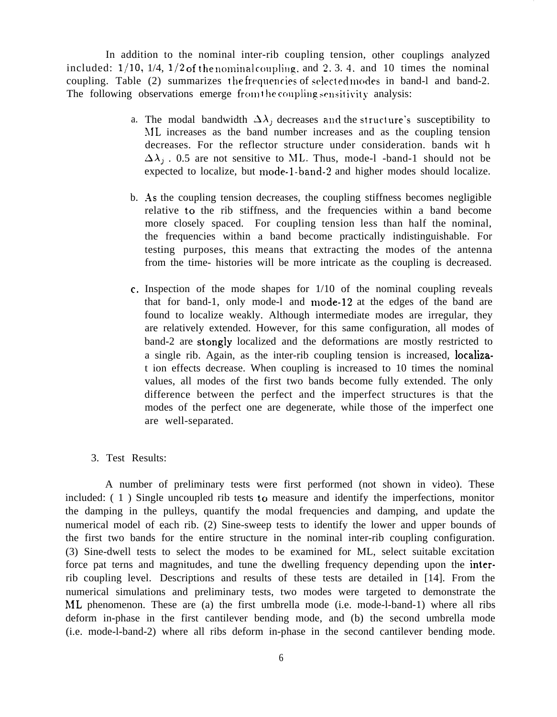In addition to the nominal inter-rib coupling tension, other couplings analyzed included:  $1/10$ ,  $1/4$ ,  $1/2$  of the nominal coupling, and 2.3.4. and 10 times the nominal coupling. Table (2) summarizes the frequencies of selected modes in band-1 and band-2. The following observations emerge from the coupling sensitivity analysis:

- a. The modal bandwidth  $\Delta\lambda_j$  decreases and the structure's susceptibility to \lL increases as the band number increases and as the coupling tension decreases. For the reflector structure under consideration. bands wit h  $\Delta\lambda_i$ . 0.5 are not sensitive to ML. Thus, mode-l -band-1 should not be expected to localize, but mode-1-band-2 and higher modes should localize.
- b. .4s the coupling tension decreases, the coupling stiffness becomes negligible relative to the rib stiffness, and the frequencies within a band become more closely spaced. For coupling tension less than half the nominal, the frequencies within a band become practically indistinguishable. For testing purposes, this means that extracting the modes of the antenna from the time- histories will be more intricate as the coupling is decreased.
- c. Inspection of the mode shapes for 1/10 of the nominal coupling reveals that for band-1, only mode-1 and mode-12 at the edges of the band are found to localize weakly. Although intermediate modes are irregular, they are relatively extended. However, for this same configuration, all modes of band-2 are stongly localized and the deformations are mostly restricted to a single rib. Again, as the inter-rib coupling tension is increased, localizat ion effects decrease. When coupling is increased to 10 times the nominal values, all modes of the first two bands become fully extended. The only difference between the perfect and the imperfect structures is that the modes of the perfect one are degenerate, while those of the imperfect one are well-separated.

# 3. Test Results:

A number of preliminary tests were first performed (not shown in video). These included: ( 1 ) Single uncoupled rib tests to measure and identify the imperfections, monitor the damping in the pulleys, quantify the modal frequencies and damping, and update the numerical model of each rib. (2) Sine-sweep tests to identify the lower and upper bounds of the first two bands for the entire structure in the nominal inter-rib coupling configuration. (3) Sine-dwell tests to select the modes to be examined for ML, select suitable excitation force pat terns and magnitudes, and tune the dwelling frequency depending upon the interrib coupling level. Descriptions and results of these tests are detailed in [14]. From the numerical simulations and preliminary tests, two modes were targeted to demonstrate the ML phenomenon. These are (a) the first umbrella mode (i.e. mode-l-band-1) where all ribs deform in-phase in the first cantilever bending mode, and (b) the second umbrella mode (i.e. mode-l-band-2) where all ribs deform in-phase in the second cantilever bending mode.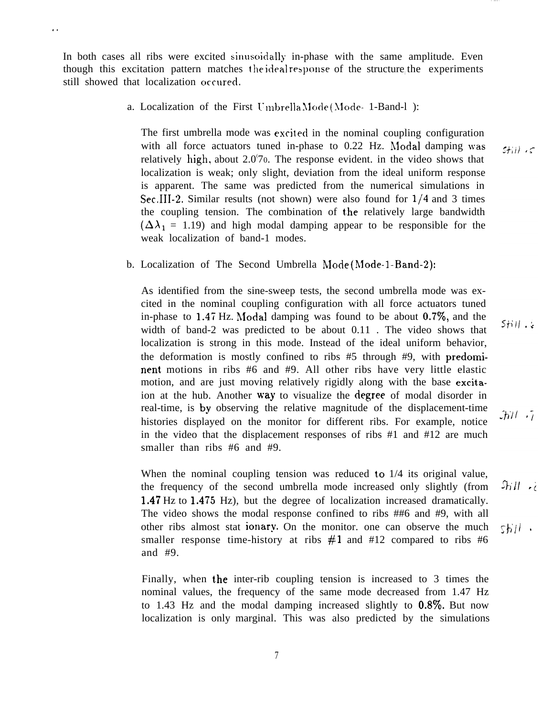In both cases all ribs were excited sinusoidally in-phase with the same amplitude. Even though this excitation pattern matches the ideal response of the structure the experiments still showed that localization occured.

,.

a. Localization of the First Umbrella Mode (Mode- 1-Band-l ):

The first umbrella mode was excited in the nominal coupling configuration with all force actuators tuned in-phase to  $0.22$  Hz. Modal damping was relatively high, about 2.0'70. The response evident. in the video shows that localization is weak; only slight, deviation from the ideal uniform response is apparent. The same was predicted from the numerical simulations in Sec.III-2. Similar results (not shown) were also found for  $1/4$  and 3 times the coupling tension. The combination of the relatively large bandwidth  $(\Delta\lambda_1 = 1.19)$  and high modal damping appear to be responsible for the weak localization of band-1 modes.

b. Localization of The Second Umbrella Mode (Mode-1-Band-2):

As identified from the sine-sweep tests, the second umbrella mode was excited in the nominal coupling configuration with all force actuators tuned in-phase to  $1.47$  Hz. Modal damping was found to be about 0.7%, and the width of band-2 was predicted to be about 0.11 . The video shows that localization is strong in this mode. Instead of the ideal uniform behavior, the deformation is mostly confined to ribs #5 through #9, with predominent motions in ribs #6 and #9. All other ribs have very little elastic motion, and are just moving relatively rigidly along with the base excitaion at the hub. Another way to visualize the degree of modal disorder in real-time, is by observing the relative magnitude of the displacement-time histories displayed on the monitor for different ribs. For example, notice in the video that the displacement responses of ribs #1 and #12 are much smaller than ribs #6 and #9.

When the nominal coupling tension was reduced to  $1/4$  its original value,  $3$ ill  $\rightarrow$ the frequency of the second umbrella mode increased only slightly (from 1.47 Hz to 1.47s Hz), but the degree of localization increased dramatically. The video shows the modal response confined to ribs ##6 and #9, with all other ribs almost stat ionary. On the monitor. one can observe the much  $5$ *hil* . smaller response time-history at ribs  $#1$  and  $#12$  compared to ribs  $#6$ and #9.

Finally, when the inter-rib coupling tension is increased to 3 times the nominal values, the frequency of the same mode decreased from 1.47 Hz to 1.43 Hz and the modal damping increased slightly to  $0.8\%$ . But now localization is only marginal. This was also predicted by the simulations  $5+111.5$ 

 $JiiI - I$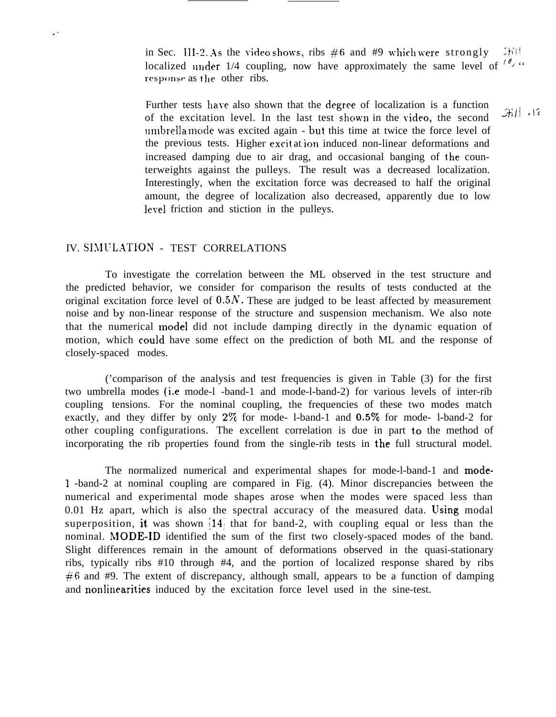in Sec. III-2. As the video shows, ribs  $#6$  and #9 which were strongly  $[75]$ <sup>111</sup> localized under 1/4 coupling, now have approximately the same level of  $\frac{1}{2}$  " response as the other ribs.

Further tests have also shown that the degree of localization is a function of the excitation level. In the last test shown in the video, the second  $\frac{1}{2}$   $\frac{1}{12}$ umbrella mode was excited again - but this time at twice the force level of the previous tests. Higher excit at ion induced non-linear deformations and increased damping due to air drag, and occasional banging of the counterweights against the pulleys. The result was a decreased localization. Interestingly, when the excitation force was decreased to half the original amount, the degree of localization also decreased, apparently due to low level friction and stiction in the pulleys.

# IV. SIMULATION - TEST CORRELATIONS

. .

To investigate the correlation between the ML observed in the test structure and the predicted behavior, we consider for comparison the results of tests conducted at the original excitation force level of  $0.5N$ . These are judged to be least affected by measurement noise and by non-linear response of the structure and suspension mechanism. We also note that the numerical model did not include damping directly in the dynamic equation of motion, which could have some effect on the prediction of both ML and the response of closely-spaced modes.

('comparison of the analysis and test frequencies is given in Table (3) for the first two umbrella modes (i.e mode-l -band-1 and mode-l-band-2) for various levels of inter-rib coupling tensions. For the nominal coupling, the frequencies of these two modes match exactly, and they differ by only  $2\%$  for mode- 1-band-1 and  $0.5\%$  for mode- 1-band-2 for other coupling configurations. The excellent correlation is due in part to the method of incorporating the rib properties found from the single-rib tests in the full structural model.

The normalized numerical and experimental shapes for mode-l-band-1 and mode-1 -band-2 at nominal coupling are compared in Fig. (4). Minor discrepancies between the numerical and experimental mode shapes arose when the modes were spaced less than  $0.01$  Hz apart, which is also the spectral accuracy of the measured data. Using modal superposition, it was shown  $\left(14\right)$  that for band-2, with coupling equal or less than the nominal. MODE-ID identified the sum of the first two closely-spaced modes of the band. Slight differences remain in the amount of deformations observed in the quasi-stationary ribs, typically ribs #10 through #4, and the portion of localized response shared by ribs  $#6$  and #9. The extent of discrepancy, although small, appears to be a function of damping and nonlinearities induced by the excitation force level used in the sine-test.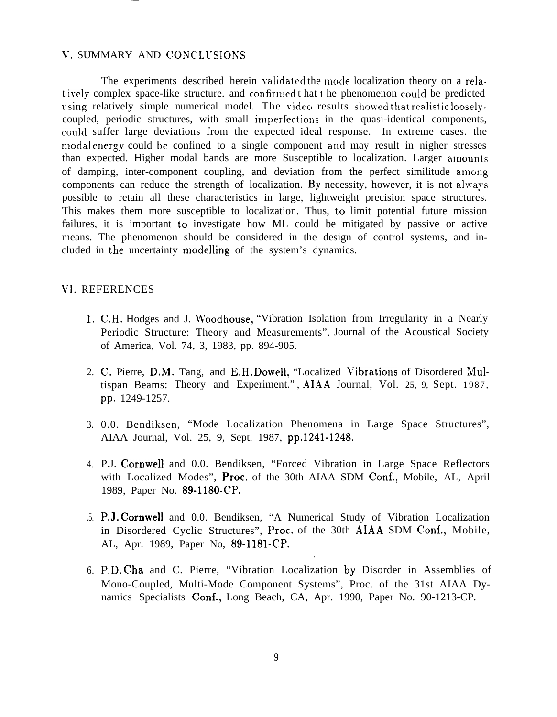# V. SUMMARY AND CONCLUSIONS

The experiments described herein validated the mode localization theory on a relatively complex space-like structure, and confirmed t hat t he phenomenon could be predicted using relatively simple numerical model. The video results showed that realistic looselycoupled, periodic structures, with small imperfections in the quasi-identical components, could suffer large deviations from the expected ideal response. In extreme cases. the modal energy could be confined to a single component and may result in nigher stresses than expected. Higher modal bands are more Susceptible to localization. Larger amounts of damping, inter-component coupling, and deviation from the perfect similitude among components can reduce the strength of localization. By necessity, however, it is not always possible to retain all these characteristics in large, lightweight precision space structures. This makes them more susceptible to localization. Thus, to limit potential future mission failures, it is important to investigate how ML could be mitigated by passive or active means. The phenomenon should be considered in the design of control systems, and included in the uncertainty modelling of the system's dynamics.

# VI. REFERENCES

- 1, C,H. Hodges and J. Woodhouse, "Vibration Isolation from Irregularity in a Nearly Periodic Structure: Theory and Measurements". Journal of the Acoustical Society of America, Vol. 74, 3, 1983, pp. 894-905.
- 2. C. Pierre, D.M. Tang, and E.H. Dowell, "Localized Vibrations of Disordered Multispan Beams: Theory and Experiment.", AIAA Journal, Vol. 25, 9, Sept. 1987, pp. 1249-1257.
- 3. 0.0. Bendiksen, "Mode Localization Phenomena in Large Space Structures", AIAA Journal, Vol. 25, 9, Sept. 1987, pp.1241-1248,
- 4. P.J. Cornwell and 0.0. Bendiksen, "Forced Vibration in Large Space Reflectors with Localized Modes", Proc. of the 30th AIAA SDM Conf,, Mobile, AL, April 1989, Paper No. 89-1180-CP.
- .5. P.J. Cornwell and 0.0. Bendiksen, "A Numerical Study of Vibration Localization in Disordered Cyclic Structures", Proc. of the 30th AIAA SDM Conf., Mobile, AL, Apr. 1989, Paper No, 89-1181-CP.

.

6. P.D. Cha and C. Pierre, "Vibration Localization by Disorder in Assemblies of Mono-Coupled, Multi-Mode Component Systems", Proc. of the 31st AIAA Dynamics Specialists Conf., Long Beach, CA, Apr. 1990, Paper No. 90-1213-CP.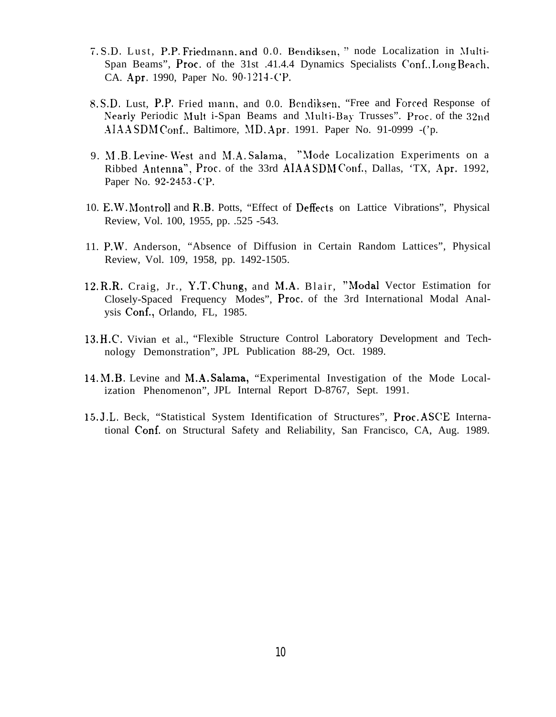- 7. S.D. Lust, P.P. Friedmann. and 0.0. Bendiksen, " node Localization in Multi-Span Beams", Proc, of the 31st .41.4.4 Dynamics Specialists Conf.. Long Beach, CA. Apr. 1990, Paper No. 90-1214 - CP.
- 8. S.D. Lust, P.P. Fried mann, and 0.0. Bendiksen, "Free and Forced Response of Nearly Periodic Mult i-Span Beams and Multi-Bay Trusses". Proc. of the 32nd  $AIAASDM$  Conf., Baltimore, MD. Apr. 1991. Paper No. 91-0999 -('p.
- 9. M.B. Levine- West and M.A. Salama, "Mode Localization Experiments on a Ribbed Antenna", Proc. of the 33rd AIAASDMConf., Dallas, 'TX, Apr. 1992, Paper No. 92-2453-CP.
- 10. E.W. Montroll and R.B. Potts, "Effect of Deffects on Lattice Vibrations", Physical Review, Vol. 100, 1955, pp. .525 -543.
- 11. P.W. Anderson, "Absence of Diffusion in Certain Random Lattices", Physical Review, Vol. 109, 1958, pp. 1492-1505.
- 12. R.R. Craig, Jr., Y.T. Chung, and M.A. Blair, "Modal Vector Estimation for Closely-Spaced Frequency Modes", Proc.. of the 3rd International Modal Analysis Conf., Orlando, FL, 1985.
- 13. H.C. Vivian et al., "Flexible Structure Control Laboratory Development and Technology Demonstration", JPL Publication 88-29, Oct. 1989.
- 14. M.B. Levine and M.A. Salama, "Experimental Investigation of the Mode Localization Phenomenon", JPL Internal Report D-8767, Sept. 1991.
- 15. J.L, Beck, "Statistical System Identification of Structures", Proc. ASCE International Conf. on Structural Safety and Reliability, San Francisco, CA, Aug. 1989.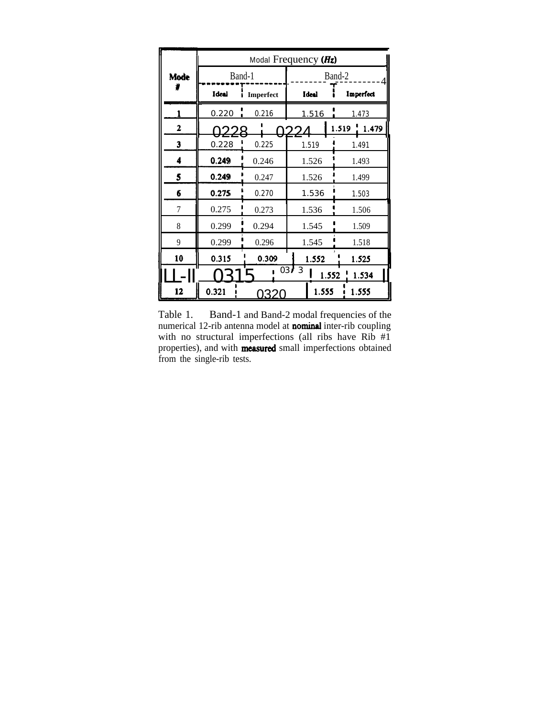|      | Modal Frequency $(Hz)$ |           |               |                |  |  |
|------|------------------------|-----------|---------------|----------------|--|--|
| Mode | Band-1                 |           | Band-2        |                |  |  |
|      | Ideal                  | Imperfect | <b>Ideal</b>  | Imperfect      |  |  |
|      | 0.220                  | 0.216     | 1.516         | 1.473          |  |  |
| 2    |                        |           | つつ            | 1.519<br>1.479 |  |  |
| 3    | 0.228                  | 0.225     | 1.519         | 1.491          |  |  |
| 4    | 0.249                  | 0.246     | 1.526         | 1.493          |  |  |
| 5    | 0.249                  | 0.247     | 1.526         | 1.499          |  |  |
| 6    | 0.275                  | 0.270     | 1.536         | 1.503          |  |  |
| 7    | 0.275                  | 0.273     | 1.536         | 1.506          |  |  |
| 8    | 0.299                  | 0.294     | 1.545         | 1.509          |  |  |
| 9    | 0.299                  | 0.296     | 1.545         | 1.518          |  |  |
| 10   | 0.315                  | 0.309     | 1.552         | 1.525          |  |  |
|      |                        |           | 0373<br>1.552 | 1.534          |  |  |
| 12   | 0.321                  | ドイン       | 1.555         | 1.555          |  |  |

Table 1. Band-1 and Band-2 modal frequencies of the numerical 12-rib antenna model at **nominal** inter-rib coupling with no structural imperfections (all ribs have Rib #1 properties), and with **measured** small imperfections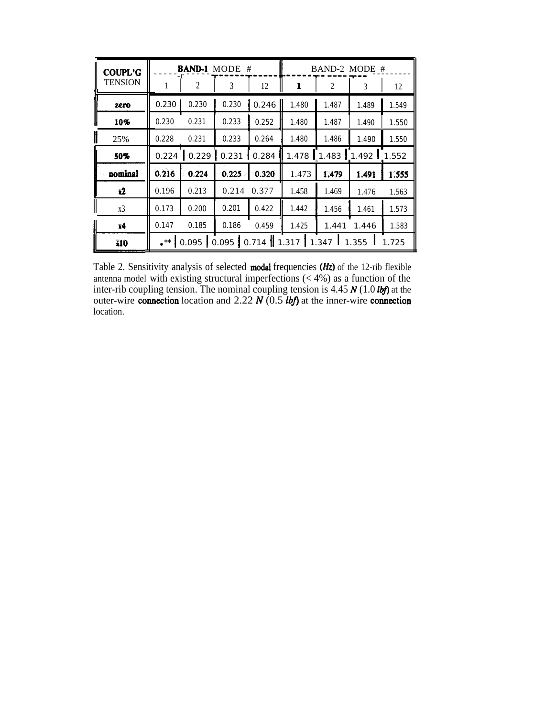| <b>COUPL'G</b><br><b>TENSION</b> | <b>BAND-1</b> MODE #                                                    |       |       | BAND-2 MODE # |       |       |       |       |
|----------------------------------|-------------------------------------------------------------------------|-------|-------|---------------|-------|-------|-------|-------|
|                                  |                                                                         | 2     | 3     | 12            | 1     | 2     | 3     | 12    |
| zero                             | 0.230                                                                   | 0.230 | 0.230 | 0.246         | 1.480 | 1.487 | 1.489 | 1.549 |
| 10%                              | 0.230                                                                   | 0.231 | 0.233 | 0.252         | 1.480 | 1.487 | 1.490 | 1.550 |
| I<br>25%                         | 0.228                                                                   | 0.231 | 0.233 | 0.264         | 1.480 | 1.486 | 1.490 | 1.550 |
| 50%                              | 0.224                                                                   | 0.229 | 0.231 | 0.284         | 1.478 | 1.483 | 1.492 | 1.552 |
| nominal                          | 0.216                                                                   | 0.224 | 0.225 | 0.320         | 1.473 | 1.479 | 1.491 | 1.555 |
| x2                               | 0.196                                                                   | 0.213 | 0.214 | 0.377         | 1.458 | 1.469 | 1.476 | 1.563 |
| x3                               | 0.173                                                                   | 0.200 | 0.201 | 0.422         | 1.442 | 1.456 | 1.461 | 1.573 |
| x4                               | 0.147                                                                   | 0.185 | 0.186 | 0.459         | 1.425 | 1.441 | 1.446 | 1.583 |
| X10                              | $0.095$ 0.095 0.714 1.317 1.347<br>1.355<br>$\cdot^{\ast\ast}$<br>1.725 |       |       |               |       |       |       |       |
|                                  |                                                                         |       |       |               |       |       |       |       |

Table 2. Sensitivity analysis of selected modal frequencies  $(Hz)$  of the 12-rib flexible antenna model with existing structural imperfections (< 4%) as a function of the inter-rib coupling tension. The nominal coupling tension is 4.45 N (1.0 *lbf*) at the outer-wire connection location and 2.22  $N(0.5 lb)$  at the inner-wire connection location.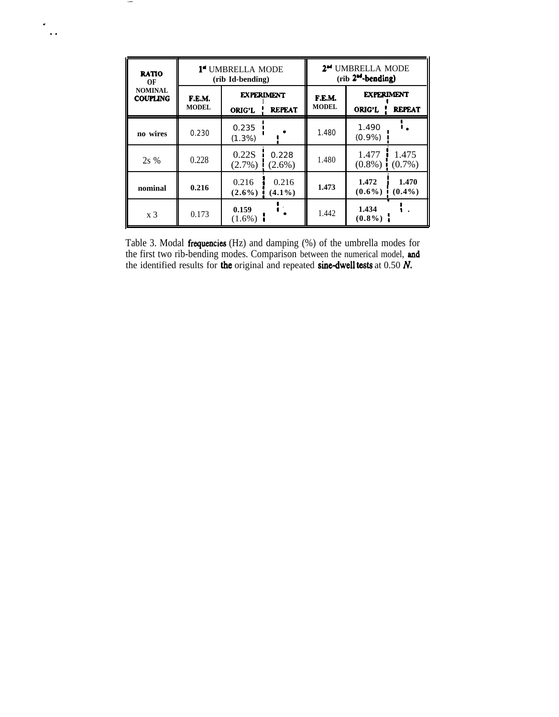| <b>RATIO</b><br>ОF                | <b>1ª UMBRELLA MODE</b><br>(rib Id-bending) |                                                     |                    | 2 <sup>m</sup> UMBRELLA MODE<br>(rib 2 <sup>od</sup> -bending) |                                                     |                    |
|-----------------------------------|---------------------------------------------|-----------------------------------------------------|--------------------|----------------------------------------------------------------|-----------------------------------------------------|--------------------|
| <b>NOMINAL</b><br><b>COUPLING</b> | F.E.M.<br><b>MODEL</b>                      | <b>EXPERIMENT</b><br><b>REPEAT</b><br><b>ORIG'L</b> |                    | F.E.M.<br><b>MODEL</b>                                         | <b>EXPERIMENT</b><br><b>REPEAT</b><br><b>ORIG'L</b> |                    |
| no wires                          | 0.230                                       | 0.235<br>$(1.3\%)$                                  |                    | 1.480                                                          | 1.490<br>$(0.9\%)$                                  |                    |
| 2s %                              | 0.228                                       | 0.22S<br>$(2.7\%)$                                  | 0.228<br>$(2.6\%)$ | 1.480                                                          | 1.477<br>$(0.8\%)$                                  | 1.475<br>$(0.7\%)$ |
| nominal                           | 0.216                                       | 0.216<br>$(2.6\%)$                                  | 0.216<br>$(4.1\%)$ | 1.473                                                          | 1.472<br>$(0.6\%)$                                  | 1.470<br>$(0.4\%)$ |
| x <sub>3</sub>                    | 0.173                                       | 0.159<br>$(1.6\%)$                                  |                    | 1.442                                                          | 1.434<br>$(0.8\%)$                                  |                    |

 $\overline{\phantom{a}}$ 

 $\ddot{\phantom{0}}$  $\hat{\mathbf{r}}$  .

Table 3. Modal **frequencies** (Hz) and damping  $(\%)$  of the umbrella modes for the first two rib-bending modes. Comparison between the numerical model, **and** the identified results for **the** original and repeated **sine-dwel**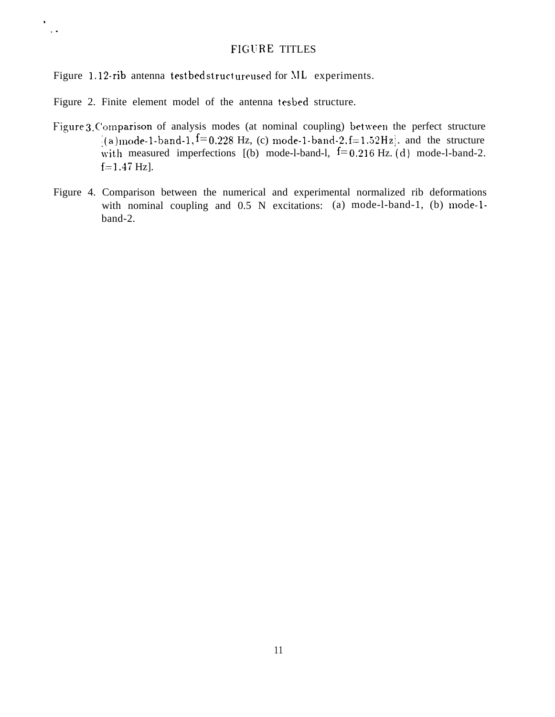# FIGURE TITLES

Figure 1.12-rib antenna testbed struct ureused for ML experiments.

Figure 2. Finite element model of the antenna tesbed structure.

. . .

- Figure 3. Comparison of analysis modes (at nominal coupling) between the perfect structure  $^{5}(a)$  mode-1-band-1,  $^{f=}$  0.228 Hz, (c) mode-1-band-2, f=1.52 Hz], and the structure with measured imperfections  $[(b) \mod 1$ -band-1,  $1=0.216$  Hz. (d) mode-l-band-2.  $f=1.47$  Hz].
- Figure 4. Comparison between the numerical and experimental normalized rib deformations with nominal coupling and 0.5 N excitations: (a) mode-l-band-1, (b) mode-lband-2.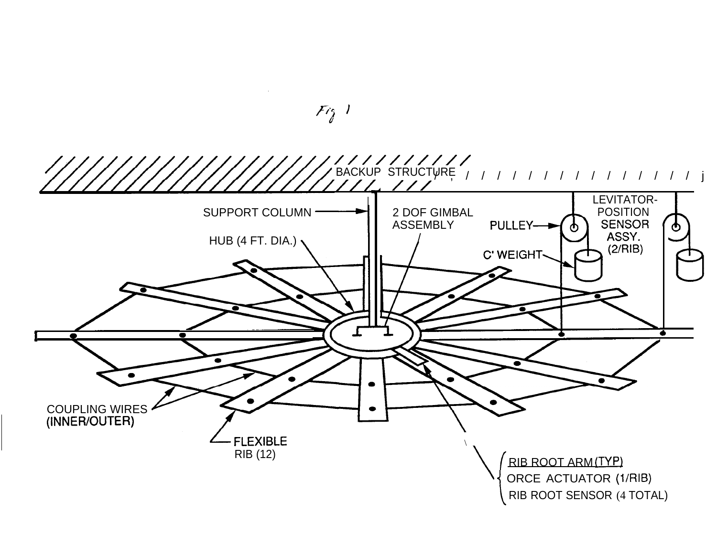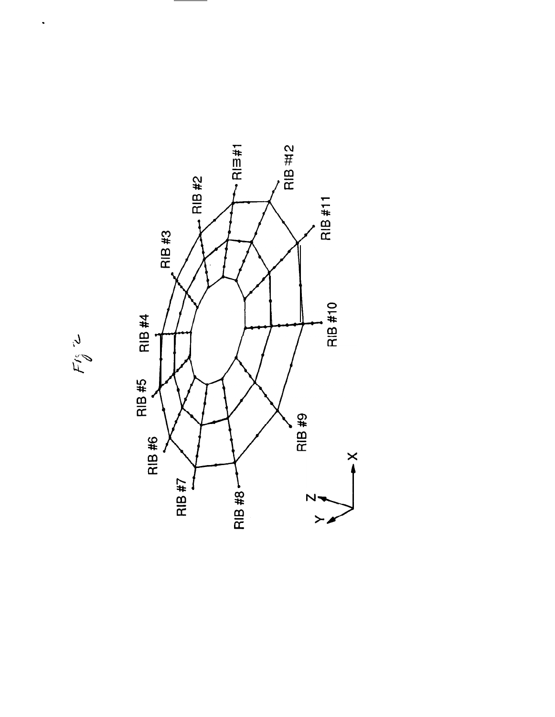

$$
F_{\not\theta}^{\kappa} \not\sim
$$

 $\ddot{\phantom{0}}$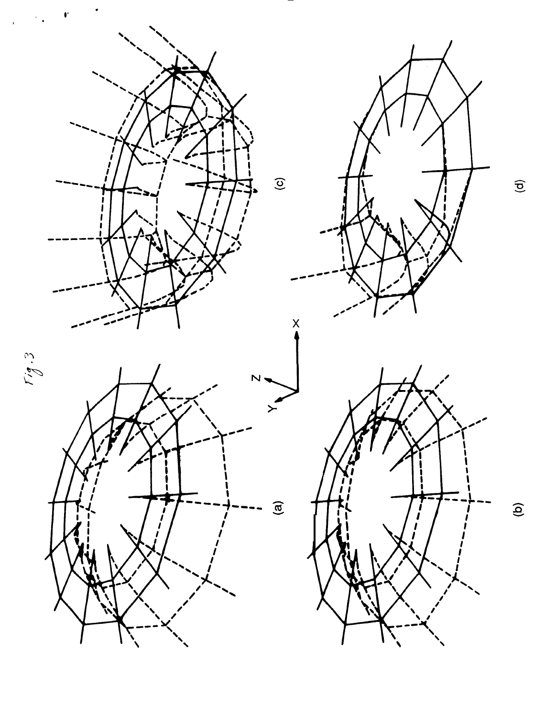